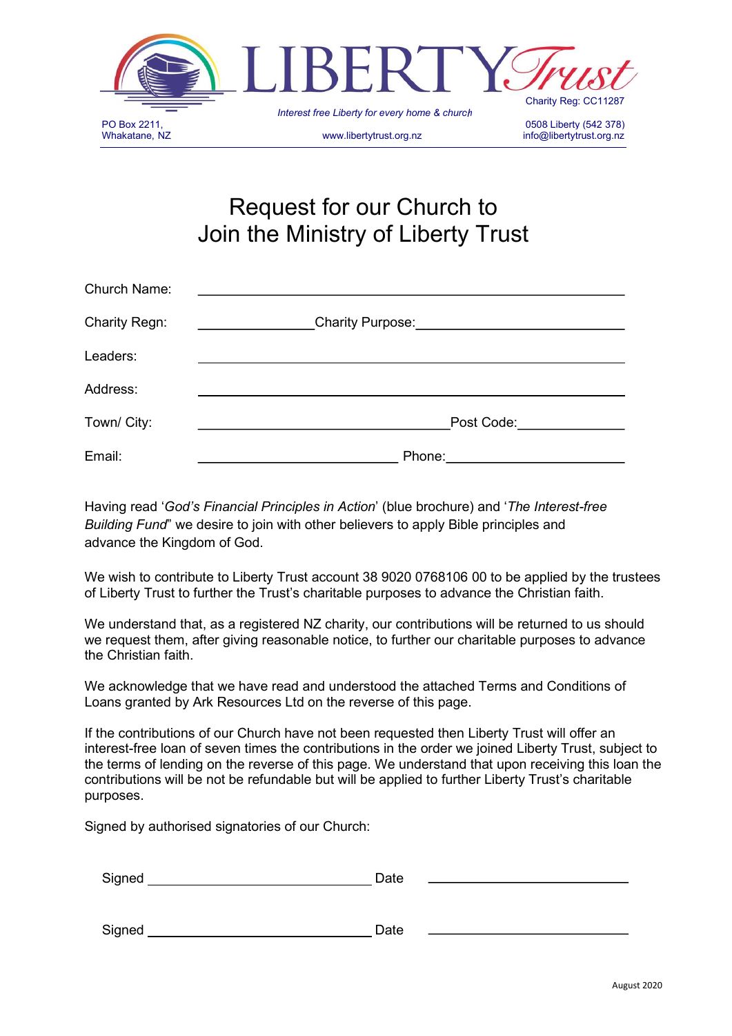

# Request for our Church to Join the Ministry of Liberty Trust

| Church Name:         |                  |
|----------------------|------------------|
| <b>Charity Regn:</b> | Charity Purpose: |
| Leaders:             |                  |
| Address:             |                  |
| Town/ City:          | Post Code:       |
| Email:               | Phone:           |

Having read 'God's Financial Principles in Action' (blue brochure) and 'The Interest-free Building Fund" we desire to join with other believers to apply Bible principles and advance the Kingdom of God.

We wish to contribute to Liberty Trust account 38 9020 0768106 00 to be applied by the trustees of Liberty Trust to further the Trust's charitable purposes to advance the Christian faith.

We understand that, as a registered NZ charity, our contributions will be returned to us should we request them, after giving reasonable notice, to further our charitable purposes to advance the Christian faith.

We acknowledge that we have read and understood the attached Terms and Conditions of Loans granted by Ark Resources Ltd on the reverse of this page.

If the contributions of our Church have not been requested then Liberty Trust will offer an interest-free loan of seven times the contributions in the order we joined Liberty Trust, subject to the terms of lending on the reverse of this page. We understand that upon receiving this loan the contributions will be not be refundable but will be applied to further Liberty Trust's charitable purposes.

Signed by authorised signatories of our Church:

Signed Date

| Signed | Date |
|--------|------|
|        |      |
|        |      |